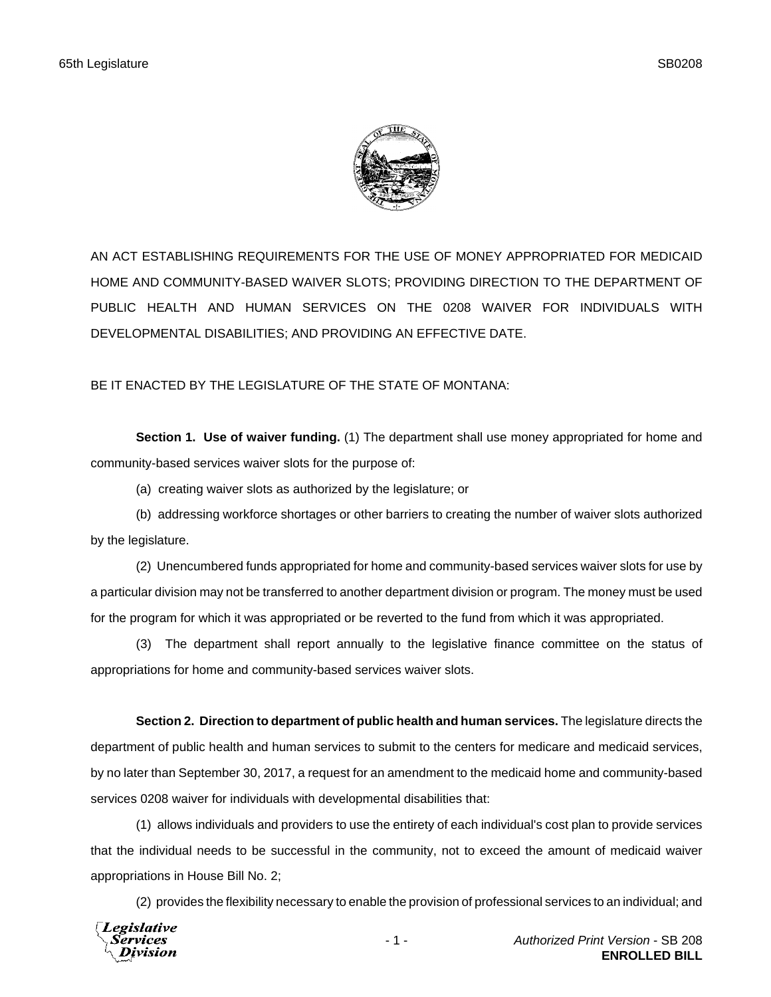

AN ACT ESTABLISHING REQUIREMENTS FOR THE USE OF MONEY APPROPRIATED FOR MEDICAID HOME AND COMMUNITY-BASED WAIVER SLOTS; PROVIDING DIRECTION TO THE DEPARTMENT OF PUBLIC HEALTH AND HUMAN SERVICES ON THE 0208 WAIVER FOR INDIVIDUALS WITH DEVELOPMENTAL DISABILITIES; AND PROVIDING AN EFFECTIVE DATE.

BE IT ENACTED BY THE LEGISLATURE OF THE STATE OF MONTANA:

**Section 1. Use of waiver funding.** (1) The department shall use money appropriated for home and community-based services waiver slots for the purpose of:

(a) creating waiver slots as authorized by the legislature; or

(b) addressing workforce shortages or other barriers to creating the number of waiver slots authorized by the legislature.

(2) Unencumbered funds appropriated for home and community-based services waiver slots for use by a particular division may not be transferred to another department division or program. The money must be used for the program for which it was appropriated or be reverted to the fund from which it was appropriated.

(3) The department shall report annually to the legislative finance committee on the status of appropriations for home and community-based services waiver slots.

**Section 2. Direction to department of public health and human services.** The legislature directs the department of public health and human services to submit to the centers for medicare and medicaid services, by no later than September 30, 2017, a request for an amendment to the medicaid home and community-based services 0208 waiver for individuals with developmental disabilities that:

(1) allows individuals and providers to use the entirety of each individual's cost plan to provide services that the individual needs to be successful in the community, not to exceed the amount of medicaid waiver appropriations in House Bill No. 2;

(2) provides the flexibility necessary to enable the provision of professional services to an individual; and

**Legislative** *Services* Division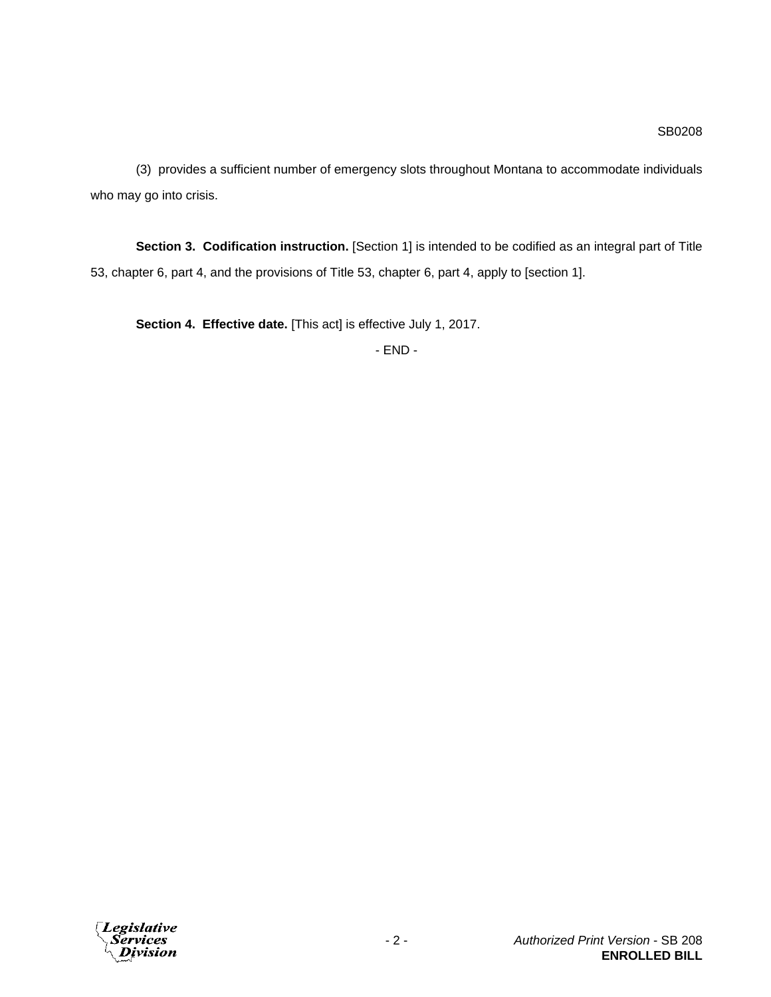(3) provides a sufficient number of emergency slots throughout Montana to accommodate individuals who may go into crisis.

**Section 3. Codification instruction.** [Section 1] is intended to be codified as an integral part of Title 53, chapter 6, part 4, and the provisions of Title 53, chapter 6, part 4, apply to [section 1].

**Section 4. Effective date.** [This act] is effective July 1, 2017.

- END -

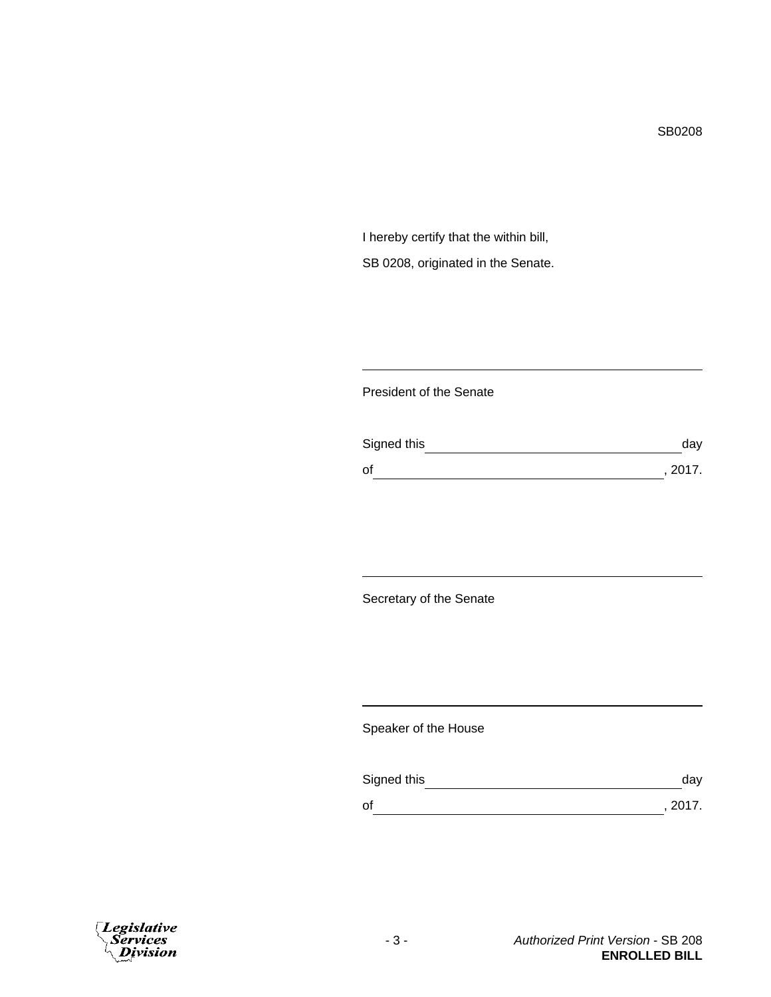I hereby certify that the within bill, SB 0208, originated in the Senate.

## President of the Senate

| Signed this | dav     |
|-------------|---------|
| οf          | , 2017. |

Secretary of the Senate

Speaker of the House

| Signed this | dav     |
|-------------|---------|
| οf          | , 2017. |